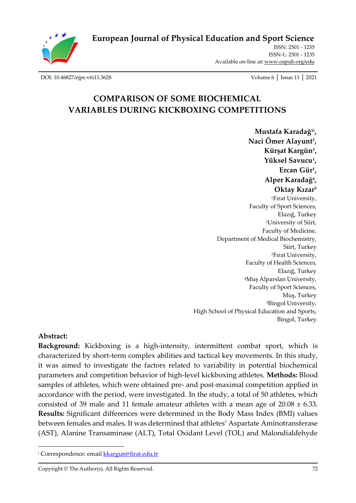

**[European Journal of Physical Education and Sport Science](http://oapub.org/edu/index.php/ejep)**

ISSN: 2501 - 1235 ISSN-L: 2501 - 1235 Available on-line at**:** [www.oapub.org/edu](http://www.oapub.org/edu)

[DOI: 10.46827/ejpe.v6i11.3628](http://dx.doi.org/10.46827/ejpe.v6i11.3628) Volume 6 │ Issue 11 │ 2021

# **COMPARISON OF SOME BIOCHEMICAL VARIABLES DURING KICKBOXING COMPETITIONS**

**Mustafa Karadağ1i , Naci Ömer Alayunt<sup>2</sup> , Kürşat Kargün<sup>3</sup> , Yüksel Savucu<sup>1</sup> , Ercan Gür<sup>1</sup> , Alper Karadağ<sup>4</sup> , Oktay Kızar<sup>5</sup>** <sup>1</sup>Fırat University, Faculty of Sport Sciences, Elazığ, Turkey <sup>2</sup>University of Siirt, Faculty of Medicine, Department of Medical Biochemistry, Siirt, Turkey <sup>3</sup>Fırat University, Faculty of Health Sciences, Elazığ, Turkey <sup>4</sup>Muş Alparslan University, Faculty of Sport Sciences, Muş, Turkey <sup>5</sup>Bingol University, High School of Physical Education and Sports, Bingol, Turkey

#### **Abstract:**

**Background:** Kickboxing is a high-intensity, intermittent combat sport, which is characterized by short-term complex abilities and tactical key movements. In this study, it was aimed to investigate the factors related to variability in potential biochemical parameters and competition behavior of high-level kickboxing athletes. **Methods:** Blood samples of athletes, which were obtained pre- and post-maximal competition applied in accordance with the period, were investigated. In the study, a total of 50 athletes, which consisted of 39 male and 11 female amateur athletes with a mean age of  $20.08 \pm 6.33$ . **Results:** Significant differences were determined in the Body Mass Index (BMI) values between females and males. It was determined that athletes' Aspartate Aminotransferase (AST), Alanine Transaminase (ALT), Total Oxidant Level (TOL) and Malondialdehyde

<sup>&</sup>lt;sup>i</sup> Correspondence: email **kkargun@firat.edu.tr**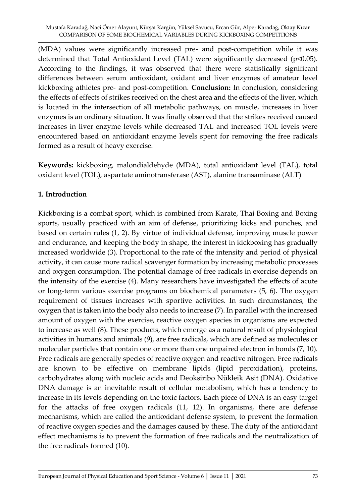(MDA) values were significantly increased pre- and post-competition while it was determined that Total Antioxidant Level (TAL) were significantly decreased (p<0.05). According to the findings, it was observed that there were statistically significant differences between serum antioxidant, oxidant and liver enzymes of amateur level kickboxing athletes pre- and post-competition. **Conclusion:** In conclusion, considering the effects of effects of strikes received on the chest area and the effects of the liver, which is located in the intersection of all metabolic pathways, on muscle, increases in liver enzymes is an ordinary situation. It was finally observed that the strikes received caused increases in liver enzyme levels while decreased TAL and increased TOL levels were encountered based on antioxidant enzyme levels spent for removing the free radicals formed as a result of heavy exercise.

**Keywords:** kickboxing, malondialdehyde (MDA), total antioxidant level (TAL), total oxidant level (TOL), aspartate aminotransferase (AST), alanine transaminase (ALT)

### **1. Introduction**

Kickboxing is a combat sport, which is combined from Karate, Thai Boxing and Boxing sports, usually practiced with an aim of defense, prioritizing kicks and punches, and based on certain rules (1, 2). By virtue of individual defense, improving muscle power and endurance, and keeping the body in shape, the interest in kickboxing has gradually increased worldwide (3). Proportional to the rate of the intensity and period of physical activity, it can cause more radical scavenger formation by increasing metabolic processes and oxygen consumption. The potential damage of free radicals in exercise depends on the intensity of the exercise (4). Many researchers have investigated the effects of acute or long-term various exercise programs on biochemical parameters (5, 6). The oxygen requirement of tissues increases with sportive activities. In such circumstances, the oxygen that is taken into the body also needs to increase (7). In parallel with the increased amount of oxygen with the exercise, reactive oxygen species in organisms are expected to increase as well (8). These products, which emerge as a natural result of physiological activities in humans and animals (9), are free radicals, which are defined as molecules or molecular particles that contain one or more than one unpaired electron in bonds (7, 10). Free radicals are generally species of reactive oxygen and reactive nitrogen. Free radicals are known to be effective on membrane lipids (lipid peroxidation), proteins, carbohydrates along with nucleic acids and Deoksiribo Nükleik Asit (DNA). Oxidative DNA damage is an inevitable result of cellular metabolism, which has a tendency to increase in its levels depending on the toxic factors. Each piece of DNA is an easy target for the attacks of free oxygen radicals (11, 12). In organisms, there are defense mechanisms, which are called the antioxidant defense system, to prevent the formation of reactive oxygen species and the damages caused by these. The duty of the antioxidant effect mechanisms is to prevent the formation of free radicals and the neutralization of the free radicals formed (10).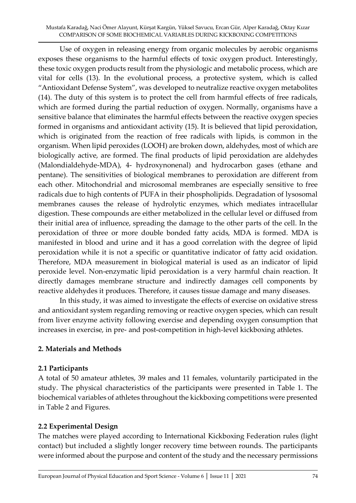Use of oxygen in releasing energy from organic molecules by aerobic organisms exposes these organisms to the harmful effects of toxic oxygen product. Interestingly, these toxic oxygen products result from the physiologic and metabolic process, which are vital for cells (13). In the evolutional process, a protective system, which is called "Antioxidant Defense System", was developed to neutralize reactive oxygen metabolites (14). The duty of this system is to protect the cell from harmful effects of free radicals, which are formed during the partial reduction of oxygen. Normally, organisms have a sensitive balance that eliminates the harmful effects between the reactive oxygen species formed in organisms and antioxidant activity (15). It is believed that lipid peroxidation, which is originated from the reaction of free radicals with lipids, is common in the organism. When lipid peroxides (LOOH) are broken down, aldehydes, most of which are biologically active, are formed. The final products of lipid peroxidation are aldehydes (Malondialdehyde-MDA), 4- hydroxynonenal) and hydrocarbon gases (ethane and pentane). The sensitivities of biological membranes to peroxidation are different from each other. Mitochondrial and microsomal membranes are especially sensitive to free radicals due to high contents of PUFA in their phospholipids. Degradation of lysosomal membranes causes the release of hydrolytic enzymes, which mediates intracellular digestion. These compounds are either metabolized in the cellular level or diffused from their initial area of influence, spreading the damage to the other parts of the cell. In the peroxidation of three or more double bonded fatty acids, MDA is formed. MDA is manifested in blood and urine and it has a good correlation with the degree of lipid peroxidation while it is not a specific or quantitative indicator of fatty acid oxidation. Therefore, MDA measurement in biological material is used as an indicator of lipid peroxide level. Non-enzymatic lipid peroxidation is a very harmful chain reaction. It directly damages membrane structure and indirectly damages cell components by reactive aldehydes it produces. Therefore, it causes tissue damage and many diseases.

In this study, it was aimed to investigate the effects of exercise on oxidative stress and antioxidant system regarding removing or reactive oxygen species, which can result from liver enzyme activity following exercise and depending oxygen consumption that increases in exercise, in pre- and post-competition in high-level kickboxing athletes.

### **2. Materials and Methods**

### **2.1 Participants**

A total of 50 amateur athletes, 39 males and 11 females, voluntarily participated in the study. The physical characteristics of the participants were presented in Table 1. The biochemical variables of athletes throughout the kickboxing competitions were presented in Table 2 and Figures.

# **2.2 Experimental Design**

The matches were played according to International Kickboxing Federation rules (light contact) but included a slightly longer recovery time between rounds. The participants were informed about the purpose and content of the study and the necessary permissions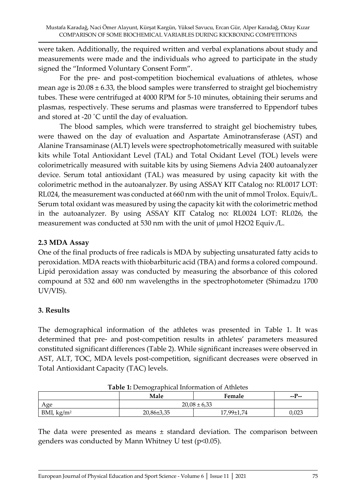were taken. Additionally, the required written and verbal explanations about study and measurements were made and the individuals who agreed to participate in the study signed the "Informed Voluntary Consent Form".

For the pre- and post-competition biochemical evaluations of athletes, whose mean age is  $20.08 \pm 6.33$ , the blood samples were transferred to straight gel biochemistry tubes. These were centrifuged at 4000 RPM for 5-10 minutes, obtaining their serums and plasmas, respectively. These serums and plasmas were transferred to Eppendorf tubes and stored at -20 ˚C until the day of evaluation.

The blood samples, which were transferred to straight gel biochemistry tubes, were thawed on the day of evaluation and Aspartate Aminotransferase (AST) and Alanine Transaminase (ALT) levels were spectrophotometrically measured with suitable kits while Total Antioxidant Level (TAL) and Total Oxidant Level (TOL) levels were colorimetrically measured with suitable kits by using Siemens Advia 2400 autoanalyzer device. Serum total antioxidant (TAL) was measured by using capacity kit with the colorimetric method in the autoanalyzer. By using ASSAY KIT Catalog no: RL0017 LOT: RL024, the measurement was conducted at 660 nm with the unit of mmol Trolox. Equiv/L. Serum total oxidant was measured by using the capacity kit with the colorimetric method in the autoanalyzer. By using ASSAY KIT Catalog no: RL0024 LOT: RL026, the measurement was conducted at 530 nm with the unit of μmol H2O2 Equiv./L.

### **2.3 MDA Assay**

One of the final products of free radicals is MDA by subjecting unsaturated fatty acids to peroxidation. MDA reacts with thiobarbituric acid (TBA) and forms a colored compound. Lipid peroxidation assay was conducted by measuring the absorbance of this colored compound at 532 and 600 nm wavelengths in the spectrophotometer (Shimadzu 1700 UV/VIS).

### **3. Results**

The demographical information of the athletes was presented in Table 1. It was determined that pre- and post-competition results in athletes' parameters measured constituted significant differences (Table 2). While significant increases were observed in AST, ALT, TOC, MDA levels post-competition, significant decreases were observed in Total Antioxidant Capacity (TAC) levels.

|                        | Male             | Female     | $-$ P $-$ |
|------------------------|------------------|------------|-----------|
| Age                    | $20,08 \pm 6,33$ |            |           |
| BMI, kg/m <sup>2</sup> | $20,86\pm3,35$   | 17.99±1.74 | 0,023     |

| Table 1: Demographical Information of Athletes |  |
|------------------------------------------------|--|
|------------------------------------------------|--|

The data were presented as means  $\pm$  standard deviation. The comparison between genders was conducted by Mann Whitney U test (p<0.05).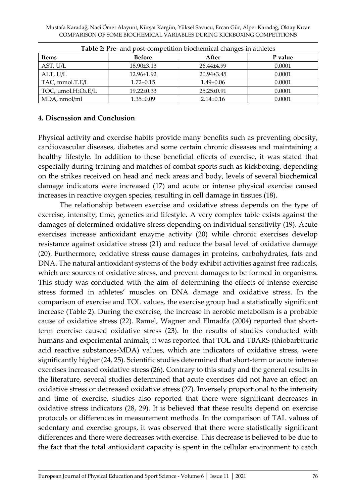Mustafa Karadağ, Naci Ömer Alayunt, Kürşat Kargün, Yüksel Savucu, Ercan Gür, Alper Karadağ, Oktay Kızar COMPARISON OF SOME BIOCHEMICAL VARIABLES DURING KICKBOXING COMPETITIONS

| <b>Table 2:</b> Pre- and post-competition blochemical changes in athletes |                  |                  |         |  |
|---------------------------------------------------------------------------|------------------|------------------|---------|--|
| <b>Items</b>                                                              | <b>Before</b>    | After            | P value |  |
| AST, U/L                                                                  | 18.90±3.13       | $26.44\pm4.99$   | 0.0001  |  |
| ALT, U/L                                                                  | $12.96 \pm 1.92$ | $20.94\pm3.45$   | 0.0001  |  |
| TAC, mmol.T.E/L                                                           | $1.72 \pm 0.15$  | $1.49 \pm 0.06$  | 0.0001  |  |
| TOC, $\mu$ mol.H <sub>2</sub> O <sub>2</sub> .E/L                         | $19.22 \pm 0.33$ | $25.25 \pm 0.91$ | 0.0001  |  |
| MDA, nmol/ml                                                              | $1.35 \pm 0.09$  | $2.14 \pm 0.16$  | 0.0001  |  |

**Table 2:** Pre- and post-competition biochemical changes in athletes

#### **4. Discussion and Conclusion**

Physical activity and exercise habits provide many benefits such as preventing obesity, cardiovascular diseases, diabetes and some certain chronic diseases and maintaining a healthy lifestyle. In addition to these beneficial effects of exercise, it was stated that especially during training and matches of combat sports such as kickboxing, depending on the strikes received on head and neck areas and body, levels of several biochemical damage indicators were increased (17) and acute or intense physical exercise caused increases in reactive oxygen species, resulting in cell damage in tissues (18).

The relationship between exercise and oxidative stress depends on the type of exercise, intensity, time, genetics and lifestyle. A very complex table exists against the damages of determined oxidative stress depending on individual sensitivity (19). Acute exercises increase antioxidant enzyme activity (20) while chronic exercises develop resistance against oxidative stress (21) and reduce the basal level of oxidative damage (20). Furthermore, oxidative stress cause damages in proteins, carbohydrates, fats and DNA. The natural antioxidant systems of the body exhibit activities against free radicals, which are sources of oxidative stress, and prevent damages to be formed in organisms. This study was conducted with the aim of determining the effects of intense exercise stress formed in athletes' muscles on DNA damage and oxidative stress. In the comparison of exercise and TOL values, the exercise group had a statistically significant increase (Table 2). During the exercise, the increase in aerobic metabolism is a probable cause of oxidative stress (22). Ramel, Wagner and Elmadfa (2004) reported that shortterm exercise caused oxidative stress (23). In the results of studies conducted with humans and experimental animals, it was reported that TOL and TBARS (thiobarbituric acid reactive substances-MDA) values, which are indicators of oxidative stress, were significantly higher (24, 25). Scientific studies determined that short-term or acute intense exercises increased oxidative stress (26). Contrary to this study and the general results in the literature, several studies determined that acute exercises did not have an effect on oxidative stress or decreased oxidative stress (27). Inversely proportional to the intensity and time of exercise, studies also reported that there were significant decreases in oxidative stress indicators (28, 29). It is believed that these results depend on exercise protocols or differences in measurement methods. In the comparison of TAL values of sedentary and exercise groups, it was observed that there were statistically significant differences and there were decreases with exercise. This decrease is believed to be due to the fact that the total antioxidant capacity is spent in the cellular environment to catch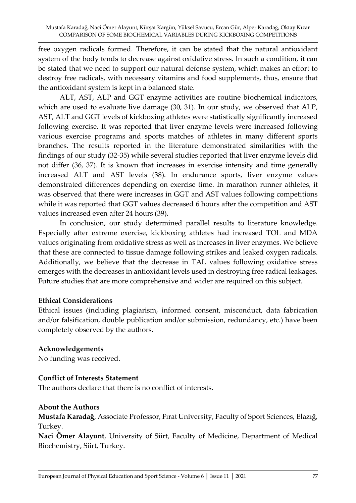free oxygen radicals formed. Therefore, it can be stated that the natural antioxidant system of the body tends to decrease against oxidative stress. In such a condition, it can be stated that we need to support our natural defense system, which makes an effort to destroy free radicals, with necessary vitamins and food supplements, thus, ensure that the antioxidant system is kept in a balanced state.

ALT, AST, ALP and GGT enzyme activities are routine biochemical indicators, which are used to evaluate live damage (30, 31). In our study, we observed that ALP, AST, ALT and GGT levels of kickboxing athletes were statistically significantly increased following exercise. It was reported that liver enzyme levels were increased following various exercise programs and sports matches of athletes in many different sports branches. The results reported in the literature demonstrated similarities with the findings of our study (32-35) while several studies reported that liver enzyme levels did not differ (36, 37). It is known that increases in exercise intensity and time generally increased ALT and AST levels (38). In endurance sports, liver enzyme values demonstrated differences depending on exercise time. In marathon runner athletes, it was observed that there were increases in GGT and AST values following competitions while it was reported that GGT values decreased 6 hours after the competition and AST values increased even after 24 hours (39).

In conclusion, our study determined parallel results to literature knowledge. Especially after extreme exercise, kickboxing athletes had increased TOL and MDA values originating from oxidative stress as well as increases in liver enzymes. We believe that these are connected to tissue damage following strikes and leaked oxygen radicals. Additionally, we believe that the decrease in TAL values following oxidative stress emerges with the decreases in antioxidant levels used in destroying free radical leakages. Future studies that are more comprehensive and wider are required on this subject.

#### **Ethical Considerations**

Ethical issues (including plagiarism, informed consent, misconduct, data fabrication and/or falsification, double publication and/or submission, redundancy, etc.) have been completely observed by the authors.

### **Acknowledgements**

No funding was received.

#### **Conflict of Interests Statement**

The authors declare that there is no conflict of interests.

#### **About the Authors**

**Mustafa Karadağ**, Associate Professor, Fırat University, Faculty of Sport Sciences, Elazığ, Turkey.

**Naci Ömer Alayunt**, University of Siirt, Faculty of Medicine, Department of Medical Biochemistry, Siirt, Turkey.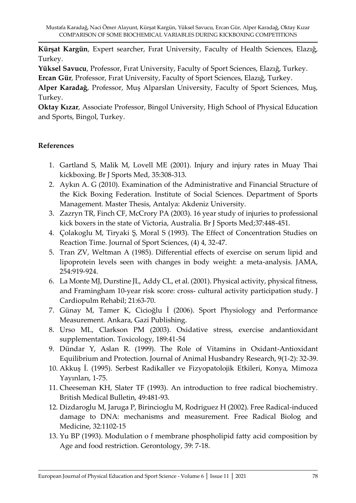**Kürşat Kargün**, Expert searcher, Fırat University, Faculty of Health Sciences, Elazığ, Turkey.

**Yüksel Savucu**, Professor, Fırat University, Faculty of Sport Sciences, Elazığ, Turkey.

**Ercan Gür**, Professor, Fırat University, Faculty of Sport Sciences, Elazığ, Turkey.

**Alper Karadağ**, Professor, Muş Alparslan University, Faculty of Sport Sciences, Muş, Turkey.

**Oktay Kızar**, Associate Professor, Bingol University, High School of Physical Education and Sports, Bingol, Turkey.

## **References**

- 1. Gartland S, Malik M, Lovell ME (2001). Injury and injury rates in Muay Thai kickboxing. Br J Sports Med, 35:308-313.
- 2. Aykın A. G (2010). Examination of the Administrative and Financial Structure of the Kick Boxing Federation. Institute of Social Sciences. Department of Sports Management. Master Thesis, Antalya: Akdeniz University.
- 3. Zazryn TR, Finch CF, McCrory PA (2003). 16 year study of injuries to professional kick boxers in the state of Victoria, Australia. Br J Sports Med;37:448-451.
- 4. Çolakoglu M, Tiryaki Ş, Moral S (1993). The Effect of Concentration Studies on Reaction Time. Journal of Sport Sciences, (4) 4, 32-47.
- 5. Tran ZV, Weltman A (1985). Differential effects of exercise on serum lipid and lipoprotein levels seen with changes in body weight: a meta-analysis. JAMA, 254:919-924.
- 6. La Monte MJ, Durstine JL, Addy CL, et al. (2001). Physical activity, physical fitness, and Framingham 10-year risk score: cross- cultural activity participation study. J Cardiopulm Rehabil; 21:63-70.
- 7. Günay M, Tamer K, Cicioğlu İ (2006). Sport Physiology and Performance Measurement. Ankara, Gazi Publishing.
- 8. Urso ML, Clarkson PM (2003). Oxidative stress, exercise andantioxidant supplementation. Toxicology, 189:41-54
- 9. Dündar Y, Aslan R. (1999). The Role of Vitamins in Oxidant-Antioxidant Equilibrium and Protection. Journal of Animal Husbandry Research, 9(1-2): 32-39.
- 10. Akkuş İ. (1995). Serbest Radikaller ve Fizyopatolojik Etkileri, Konya, Mimoza Yayınları, 1-75.
- 11. Cheeseman KH, Slater TF (1993). An introduction to free radical biochemistry. British Medical Bulletin, 49:481-93.
- 12. Dizdaroglu M, Jaruga P, Birincioglu M, Rodriguez H (2002). Free Radical-induced damage to DNA: mechanisms and measurement. Free Radical Biolog and Medicine, 32:1102-15
- 13. Yu BP (1993). Modulation o f membrane phospholipid fatty acid composition by Age and food restriction. Gerontology, 39: 7-18.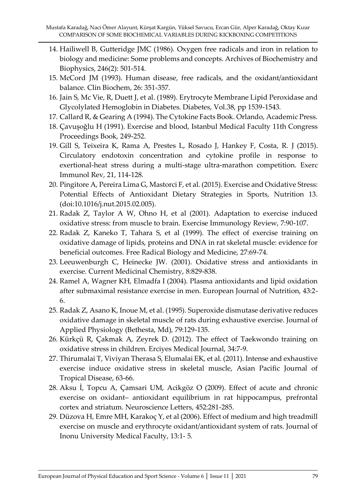- 14. Hailiwell B, Gutteridge JMC (1986). Oxygen free radicals and iron in relation to biology and medicine: Some problems and concepts. Archives of Biochemistry and Biophysics, 246(2): 501-514.
- 15. McCord JM (1993). Human disease, free radicals, and the oxidant/antioxidant balance. Clin Biochem, 26: 351-357.
- 16. Jain S, Mc Vie, R, Duett J, et al. (1989). Erytrocyte Membrane Lipid Peroxidase and Glycolylated Hemoglobin in Diabetes. Diabetes, Vol.38, pp 1539-1543.
- 17. Callard R, & Gearing A (1994). The Cytokine Facts Book. Orlando, Academic Press.
- 18. Çavuşoğlu H (1991). Exercise and blood, Istanbul Medical Faculty 11th Congress Proceedings Book, 249-252.
- 19. Gill S, Teixeira K, Rama A, Prestes L, Rosado J, Hankey F, Costa, R. J (2015). Circulatory endotoxin concentration and cytokine profile in response to exertional-heat stress during a multi-stage ultra-marathon competition. Exerc Immunol Rev, 21, 114-128.
- 20. Pingitore A, Pereira Lima G, Mastorci F, et al. (2015). Exercise and Oxidative Stress: Potential Effects of Antioxidant Dietary Strategies in Sports, Nutrition 13. (doi:10.1016/j.nut.2015.02.005).
- 21. Radak Z, Taylor A W, Ohno H, et al (2001). Adaptation to exercise induced oxidative stress: from muscle to brain. Exercise Immunology Review, 7:90-107.
- 22. Radak Z, Kaneko T, Tahara S, et al (1999). The effect of exercise training on oxidative damage of lipids, proteins and DNA in rat skeletal muscle: evidence for beneficial outcomes. Free Radical Biology and Medicine, 27:69-74.
- 23. Leeuwenburgh C, Heinecke JW. (2001). Oxidative stress and antioxidants in exercise. Current Medicinal Chemistry, 8:829-838.
- 24. Ramel A, Wagner KH, Elmadfa I (2004). Plasma antioxidants and lipid oxidation after submaximal resistance exercise in men. European Journal of Nutrition, 43:2- 6.
- 25. Radak Z, Asano K, Inoue M, et al. (1995). Superoxide dismutase derivative reduces oxidative damage in skeletal muscle of rats during exhaustive exercise. Journal of Applied Physiology (Bethesta, Md), 79:129-135.
- 26. Kürkçü R, Çakmak A, Zeyrek D. (2012). The effect of Taekwondo training on oxidative stress in children. Erciyes Medical Journal, 34:7-9.
- 27. Thirumalai T, Viviyan Therasa S, Elumalai EK, et al. (2011). Intense and exhaustive exercise induce oxidative stress in skeletal muscle, Asian Pacific Journal of Tropical Disease, 63-66.
- 28. Aksu İ, Topcu A, Çamsari UM, Acikgöz O (2009). Effect of acute and chronic exercise on oxidant– antioxidant equilibrium in rat hippocampus, prefrontal cortex and striatum. Neuroscience Letters, 452:281-285.
- 29. Düzova H, Emre MH, Karakoç Y, et al (2006). Effect of medium and high treadmill exercise on muscle and erythrocyte oxidant/antioxidant system of rats. Journal of Inonu University Medical Faculty, 13:1- 5.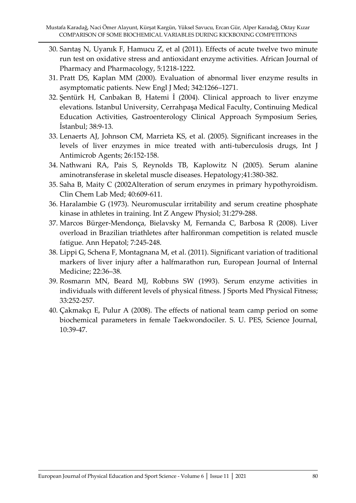- 30. Sarıtaş N, Uyanık F, Hamucu Z, et al (2011). Effects of acute twelve two minute run test on oxidative stress and antioxidant enzyme activities. African Journal of Pharmacy and Pharmacology, 5:1218-1222.
- 31. Pratt DS, Kaplan MM (2000). Evaluation of abnormal liver enzyme results in asymptomatic patients. New Engl J Med; 342:1266–1271.
- 32. Şentürk H, Canbakan B, Hatemi İ (2004). Clinical approach to liver enzyme elevations. Istanbul University, Cerrahpaşa Medical Faculty, Continuing Medical Education Activities, Gastroenterology Clinical Approach Symposium Series, İstanbul; 38:9-13.
- 33. Lenaerts AJ, Johnson CM, Marrieta KS, et al. (2005). Significant increases in the levels of liver enzymes in mice treated with anti-tuberculosis drugs, Int J Antimicrob Agents; 26:152-158.
- 34. Nathwani RA, Pais S, Reynolds TB, Kaplowitz N (2005). Serum alanine aminotransferase in skeletal muscle diseases. Hepatology;41:380-382.
- 35. Saha B, Maity C (2002Alteration of serum enzymes in primary hypothyroidism. Clin Chem Lab Med; 40:609-611.
- 36. Haralambie G (1973). Neuromuscular irritability and serum creatine phosphate kinase in athletes in training. Int Z Angew Physiol; 31:279-288.
- 37. Marcos Bürger-Mendonça, Bielavsky M, Fernanda C, Barbosa R (2008). Liver overload in Brazilian triathletes after halfironman competition is related muscle fatigue. Ann Hepatol; 7:245-248.
- 38. Lippi G, Schena F, Montagnana M, et al. (2011). Significant variation of traditional markers of liver injury after a halfmarathon run, European Journal of Internal Medicine; 22:36–38.
- 39. Rosmarın MN, Beard MJ, Robbıns SW (1993). Serum enzyme activities in individuals with different levels of physical fitness. J Sports Med Physical Fitness; 33:252-257.
- 40. Çakmakçı E, Pulur A (2008). The effects of national team camp period on some biochemical parameters in female Taekwondociler. S. U. PES, Science Journal, 10:39-47.